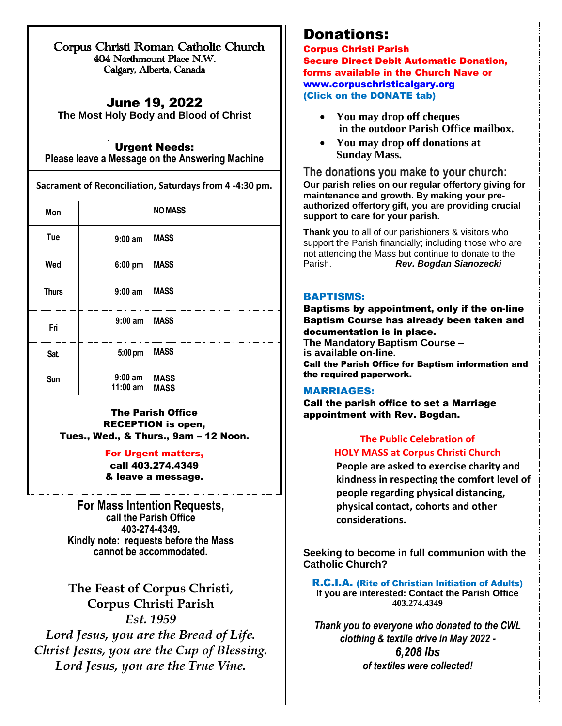Corpus Christi Roman Catholic Church 404 Northmount Place N.W. Calgary, Alberta, Canada

## June 19, 2022

 $\overline{a}$ 

**The Most Holy Body and Blood of Christ**

### Urgent Needs:

**Please leave a Message on the Answering Machine**

**Sacrament of Reconciliation, Saturdays from 4 -4:30 pm.**

| Mon          |                              | <b>NO MASS</b> |
|--------------|------------------------------|----------------|
| Tue          | $9:00$ am                    | <b>MASS</b>    |
| Wed          | 6:00 pm                      | <b>MASS</b>    |
| <b>Thurs</b> | $9:00$ am                    | <b>MASS</b>    |
| Fri          | $9:00$ am                    | <b>MASS</b>    |
| Sat.         | 5:00 pm                      | <b>MASS</b>    |
| Sun          | $9:00$ am<br>11:00 am   MASS | <b>MASS</b>    |

The Parish Office RECEPTION is open, Tues., Wed., & Thurs., 9am – 12 Noon.

### For Urgent matters, call 403.274.4349

& leave a message.

**For Mass Intention Requests, call the Parish Office 403-274-4349. Kindly note: requests before the Mass cannot be accommodated.**

**The Feast of Corpus Christi, Corpus Christi Parish** *Est. 1959 Lord Jesus, you are the Bread of Life. Christ Jesus, you are the Cup of Blessing. Lord Jesus, you are the True Vine.*

## Donations:

Corpus Christi Parish Secure Direct Debit Automatic Donation, forms available in the Church Nave or [www.corpuschristicalgary.org](http://www.corpuschristicalgary.org/) (Click on the DONATE tab)

- **You may drop off cheques in the outdoor Parish Of**fi**ce mailbox.**
- **You may drop off donations at Sunday Mass.**

**The donations you make to your church: Our parish relies on our regular offertory giving for maintenance and growth. By making your preauthorized offertory gift, you are providing crucial support to care for your parish.**

**Thank you** to all of our parishioners & visitors who support the Parish financially; including those who are not attending the Mass but continue to donate to the Parish. *Rev. Bogdan Sianozecki*

### BAPTISMS:

Baptisms by appointment, only if the on-line Baptism Course has already been taken and documentation is in place. **The Mandatory Baptism Course – is available on-line.**  Call the Parish Office for Baptism information and the required paperwork.

#### MARRIAGES:

Call the parish office to set a Marriage appointment with Rev. Bogdan.

## **The Public Celebration of HOLY MASS at Corpus Christi Church**

**People are asked to exercise charity and kindness in respecting the comfort level of people regarding physical distancing, physical contact, cohorts and other considerations.**

**Seeking to become in full communion with the Catholic Church?**

R.C.I.A. (Rite of Christian Initiation of Adults) **If you are interested: Contact the Parish Office 403.274.4349**

*Thank you to everyone who donated to the CWL clothing & textile drive in May 2022 - 6,208 lbs of textiles were collected!*